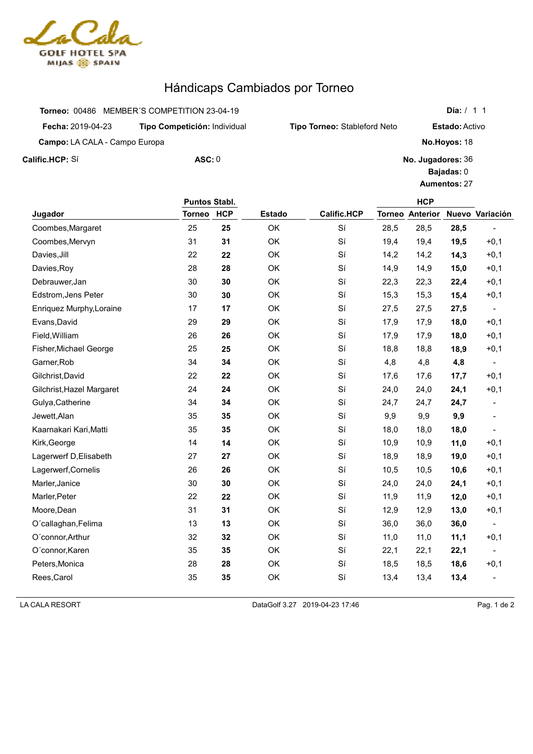

## Hándicaps Cambiados por Torneo

|                                      | Torneo: 00486 MEMBER'S COMPETITION 23-04-19 |                                     |
|--------------------------------------|---------------------------------------------|-------------------------------------|
| <b>Fecha: 2019-04-23</b>             | Tipo Competición: Individual                | <b>Tipo Torneo: Stableford Neto</b> |
| <b>Campo:</b> LA CALA - Campo Europa |                                             |                                     |
| Calific.HCP: Sí                      | $\text{ASC}: 0$                             | No.                                 |

**HCP No. Jugadores:** 36 **Bajadas:** 0 **Aumentos:** 27 **Variación**

**Día:** / 1 1

**Estado:** Activo

**No.Hoyos:** 18

|                           | Puntos Stabl. |            |               |                    |      | <b>HCP</b>             |      |                          |
|---------------------------|---------------|------------|---------------|--------------------|------|------------------------|------|--------------------------|
| Jugador                   | <b>Torneo</b> | <b>HCP</b> | <b>Estado</b> | <b>Calific.HCP</b> |      | <b>Torneo Anterior</b> |      | Nuevo Variación          |
| Coombes, Margaret         | 25            | 25         | OK            | Sí                 | 28,5 | 28,5                   | 28,5 |                          |
| Coombes, Mervyn           | 31            | 31         | OK            | Sí                 | 19,4 | 19,4                   | 19,5 | $+0,1$                   |
| Davies, Jill              | 22            | 22         | OK            | Sí                 | 14,2 | 14,2                   | 14,3 | $+0,1$                   |
| Davies, Roy               | 28            | 28         | OK            | Sí                 | 14,9 | 14,9                   | 15,0 | $+0,1$                   |
| Debrauwer, Jan            | 30            | 30         | OK            | Sí                 | 22,3 | 22,3                   | 22,4 | $+0,1$                   |
| Edstrom, Jens Peter       | 30            | 30         | OK            | Sí                 | 15,3 | 15,3                   | 15,4 | $+0,1$                   |
| Enriquez Murphy, Loraine  | 17            | 17         | OK            | Sí                 | 27,5 | 27,5                   | 27,5 |                          |
| Evans, David              | 29            | 29         | OK            | Sí                 | 17,9 | 17,9                   | 18,0 | $+0,1$                   |
| Field, William            | 26            | 26         | OK            | Sí                 | 17,9 | 17,9                   | 18,0 | $+0,1$                   |
| Fisher, Michael George    | 25            | 25         | OK            | Sí                 | 18,8 | 18,8                   | 18,9 | $+0,1$                   |
| Garner, Rob               | 34            | 34         | OK            | Sí                 | 4,8  | 4,8                    | 4,8  | $\overline{\phantom{a}}$ |
| Gilchrist, David          | 22            | 22         | OK            | Sí                 | 17,6 | 17,6                   | 17,7 | $+0,1$                   |
| Gilchrist, Hazel Margaret | 24            | 24         | OK            | Sí                 | 24,0 | 24,0                   | 24,1 | $+0,1$                   |
| Gulya, Catherine          | 34            | 34         | OK            | Sí                 | 24,7 | 24,7                   | 24,7 |                          |
| Jewett, Alan              | 35            | 35         | OK            | Sí                 | 9,9  | 9,9                    | 9,9  |                          |
| Kaarnakari Kari, Matti    | 35            | 35         | OK            | Sí                 | 18,0 | 18,0                   | 18,0 |                          |
| Kirk, George              | 14            | 14         | OK            | Sí                 | 10,9 | 10,9                   | 11,0 | $+0,1$                   |
| Lagerwerf D, Elisabeth    | 27            | 27         | OK            | Sí                 | 18,9 | 18,9                   | 19,0 | $+0,1$                   |
| Lagerwerf, Cornelis       | 26            | 26         | OK            | Sí                 | 10,5 | 10,5                   | 10,6 | $+0,1$                   |
| Marler, Janice            | 30            | 30         | OK            | Sí                 | 24,0 | 24,0                   | 24,1 | $+0,1$                   |
| Marler, Peter             | 22            | 22         | OK            | Sí                 | 11,9 | 11,9                   | 12,0 | $+0,1$                   |
| Moore, Dean               | 31            | 31         | OK            | Sí                 | 12,9 | 12,9                   | 13,0 | $+0,1$                   |
| O'callaghan, Felima       | 13            | 13         | OK            | Sí                 | 36,0 | 36,0                   | 36,0 |                          |
| O'connor, Arthur          | 32            | 32         | OK            | Sí                 | 11,0 | 11,0                   | 11,1 | $+0,1$                   |
| O'connor, Karen           | 35            | 35         | OK            | Sí                 | 22,1 | 22,1                   | 22,1 |                          |
| Peters, Monica            | 28            | 28         | OK            | Sí                 | 18,5 | 18,5                   | 18,6 | $+0,1$                   |
| Rees, Carol               | 35            | 35         | OK            | Sí                 | 13,4 | 13,4                   | 13,4 |                          |

LA CALA RESORT Pag. 1 de 2